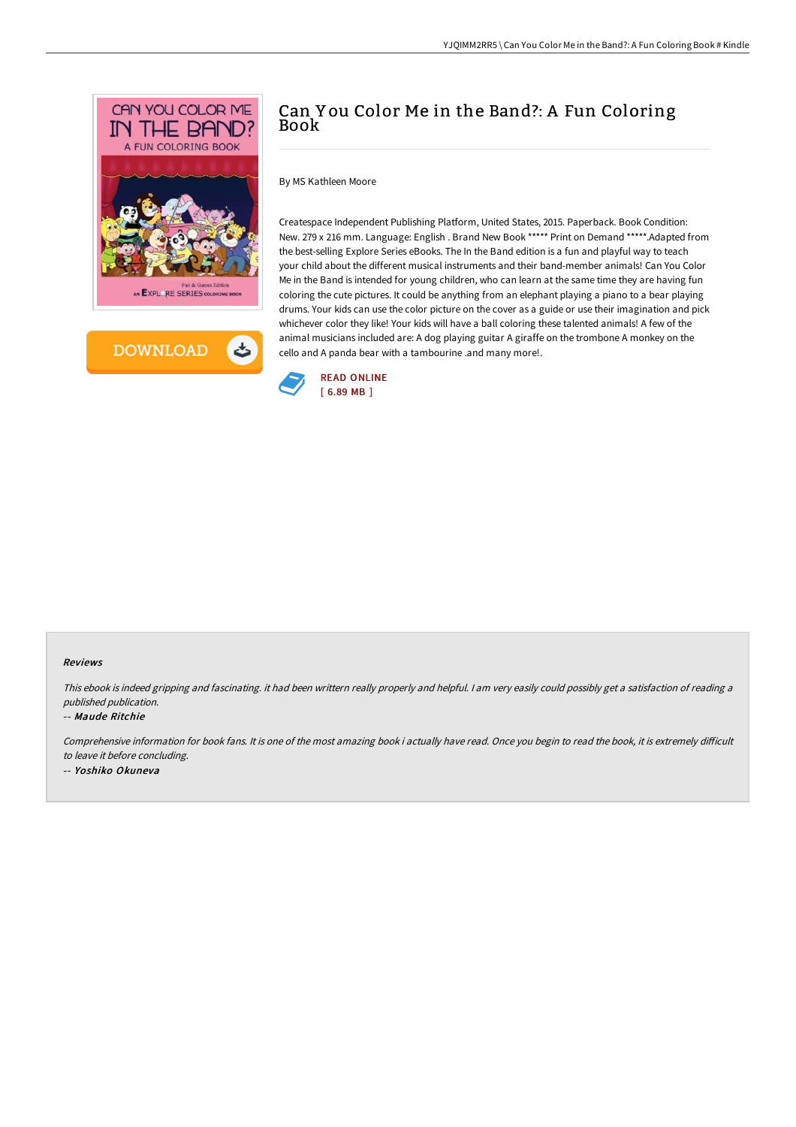



# Can Y ou Color Me in the Band?: A Fun Coloring Book

By MS Kathleen Moore

Createspace Independent Publishing Platform, United States, 2015. Paperback. Book Condition: New. 279 x 216 mm. Language: English . Brand New Book \*\*\*\*\* Print on Demand \*\*\*\*\*.Adapted from the best-selling Explore Series eBooks. The In the Band edition is a fun and playful way to teach your child about the different musical instruments and their band-member animals! Can You Color Me in the Band is intended for young children, who can learn at the same time they are having fun coloring the cute pictures. It could be anything from an elephant playing a piano to a bear playing drums. Your kids can use the color picture on the cover as a guide or use their imagination and pick whichever color they like! Your kids will have a ball coloring these talented animals! A few of the animal musicians included are: A dog playing guitar A giraffe on the trombone A monkey on the cello and A panda bear with a tambourine .and many more!.



### Reviews

This ebook is indeed gripping and fascinating. it had been writtern really properly and helpful. <sup>I</sup> am very easily could possibly get <sup>a</sup> satisfaction of reading <sup>a</sup> published publication.

#### -- Maude Ritchie

Comprehensive information for book fans. It is one of the most amazing book i actually have read. Once you begin to read the book, it is extremely difficult to leave it before concluding.

-- Yoshiko Okuneva